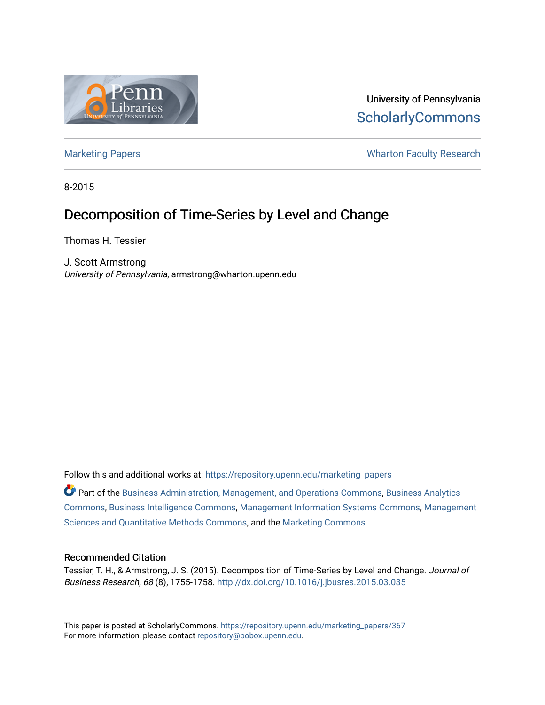

University of Pennsylvania **ScholarlyCommons** 

[Marketing Papers](https://repository.upenn.edu/marketing_papers) **Marketing Papers Marketing Papers Wharton Faculty Research** 

8-2015

# Decomposition of Time-Series by Level and Change

Thomas H. Tessier

J. Scott Armstrong University of Pennsylvania, armstrong@wharton.upenn.edu

Follow this and additional works at: [https://repository.upenn.edu/marketing\\_papers](https://repository.upenn.edu/marketing_papers?utm_source=repository.upenn.edu%2Fmarketing_papers%2F367&utm_medium=PDF&utm_campaign=PDFCoverPages)

Part of the [Business Administration, Management, and Operations Commons](http://network.bepress.com/hgg/discipline/623?utm_source=repository.upenn.edu%2Fmarketing_papers%2F367&utm_medium=PDF&utm_campaign=PDFCoverPages), [Business Analytics](http://network.bepress.com/hgg/discipline/1398?utm_source=repository.upenn.edu%2Fmarketing_papers%2F367&utm_medium=PDF&utm_campaign=PDFCoverPages) [Commons](http://network.bepress.com/hgg/discipline/1398?utm_source=repository.upenn.edu%2Fmarketing_papers%2F367&utm_medium=PDF&utm_campaign=PDFCoverPages), [Business Intelligence Commons](http://network.bepress.com/hgg/discipline/1326?utm_source=repository.upenn.edu%2Fmarketing_papers%2F367&utm_medium=PDF&utm_campaign=PDFCoverPages), [Management Information Systems Commons](http://network.bepress.com/hgg/discipline/636?utm_source=repository.upenn.edu%2Fmarketing_papers%2F367&utm_medium=PDF&utm_campaign=PDFCoverPages), [Management](http://network.bepress.com/hgg/discipline/637?utm_source=repository.upenn.edu%2Fmarketing_papers%2F367&utm_medium=PDF&utm_campaign=PDFCoverPages)  [Sciences and Quantitative Methods Commons,](http://network.bepress.com/hgg/discipline/637?utm_source=repository.upenn.edu%2Fmarketing_papers%2F367&utm_medium=PDF&utm_campaign=PDFCoverPages) and the [Marketing Commons](http://network.bepress.com/hgg/discipline/638?utm_source=repository.upenn.edu%2Fmarketing_papers%2F367&utm_medium=PDF&utm_campaign=PDFCoverPages) 

# Recommended Citation

Tessier, T. H., & Armstrong, J. S. (2015). Decomposition of Time-Series by Level and Change. Journal of Business Research, 68 (8), 1755-1758.<http://dx.doi.org/10.1016/j.jbusres.2015.03.035>

This paper is posted at ScholarlyCommons. [https://repository.upenn.edu/marketing\\_papers/367](https://repository.upenn.edu/marketing_papers/367)  For more information, please contact [repository@pobox.upenn.edu.](mailto:repository@pobox.upenn.edu)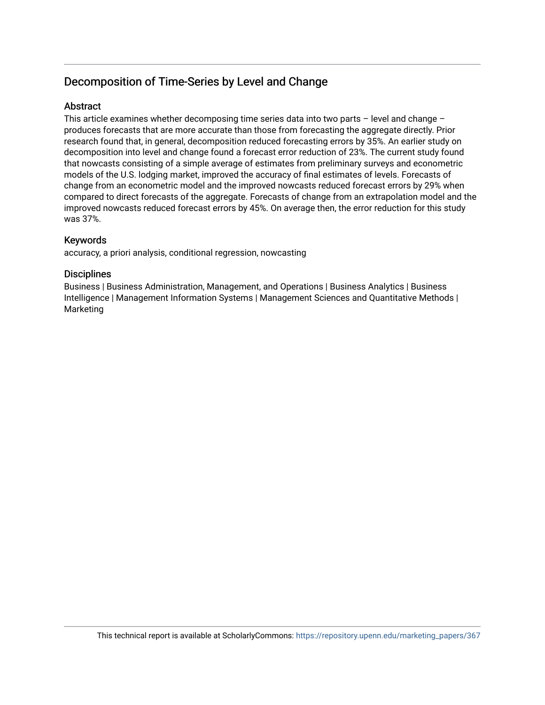# Decomposition of Time-Series by Level and Change

# **Abstract**

This article examines whether decomposing time series data into two parts – level and change – produces forecasts that are more accurate than those from forecasting the aggregate directly. Prior research found that, in general, decomposition reduced forecasting errors by 35%. An earlier study on decomposition into level and change found a forecast error reduction of 23%. The current study found that nowcasts consisting of a simple average of estimates from preliminary surveys and econometric models of the U.S. lodging market, improved the accuracy of final estimates of levels. Forecasts of change from an econometric model and the improved nowcasts reduced forecast errors by 29% when compared to direct forecasts of the aggregate. Forecasts of change from an extrapolation model and the improved nowcasts reduced forecast errors by 45%. On average then, the error reduction for this study was 37%.

# Keywords

accuracy, a priori analysis, conditional regression, nowcasting

# **Disciplines**

Business | Business Administration, Management, and Operations | Business Analytics | Business Intelligence | Management Information Systems | Management Sciences and Quantitative Methods | Marketing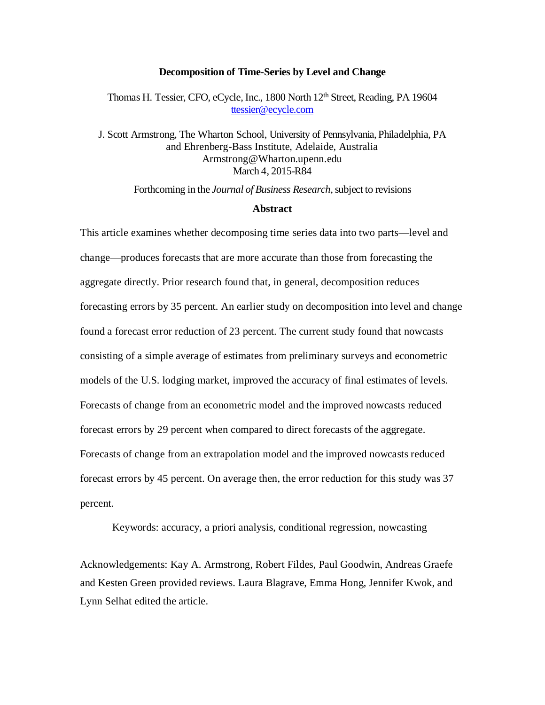#### **Decomposition of Time-Series by Level and Change**

Thomas H. Tessier, CFO, eCycle, Inc., 1800 North 12<sup>th</sup> Street, Reading, PA 19604 [ttessier@ecycle.com](mailto:ttessier@ecycle.com)

J. Scott Armstrong, The Wharton School, University of Pennsylvania, Philadelphia, PA and Ehrenberg-Bass Institute, Adelaide, Australia Armstrong@Wharton.upenn.edu March 4, 2015-R84

Forthcoming in the *Journal of Business Research,*subject to revisions

#### **Abstract**

This article examines whether decomposing time series data into two parts—level and change—produces forecasts that are more accurate than those from forecasting the aggregate directly. Prior research found that, in general, decomposition reduces forecasting errors by 35 percent. An earlier study on decomposition into level and change found a forecast error reduction of 23 percent. The current study found that nowcasts consisting of a simple average of estimates from preliminary surveys and econometric models of the U.S. lodging market, improved the accuracy of final estimates of levels. Forecasts of change from an econometric model and the improved nowcasts reduced forecast errors by 29 percent when compared to direct forecasts of the aggregate. Forecasts of change from an extrapolation model and the improved nowcasts reduced forecast errors by 45 percent. On average then, the error reduction for this study was 37 percent.

Keywords: accuracy, a priori analysis, conditional regression, nowcasting

Acknowledgements: Kay A. Armstrong, Robert Fildes, Paul Goodwin, Andreas Graefe and Kesten Green provided reviews. Laura Blagrave, Emma Hong, Jennifer Kwok, and Lynn Selhat edited the article.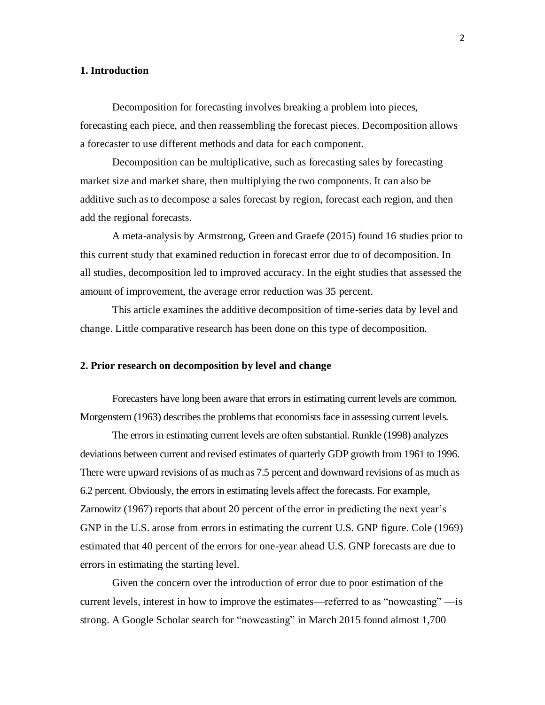## **1. Introduction**

Decomposition for forecasting involves breaking a problem into pieces, forecasting each piece, and then reassembling the forecast pieces. Decomposition allows a forecaster to use different methods and data for each component.

 Decomposition can be multiplicative, such as forecasting sales by forecasting market size and market share, then multiplying the two components. It can also be additive such as to decompose a sales forecast by region, forecast each region, and then add the regional forecasts.

 A meta-analysis by Armstrong, Green and Graefe (2015) found 16 studies prior to this current study that examined reduction in forecast error due to of decomposition. In all studies, decomposition led to improved accuracy. In the eight studies that assessed the amount of improvement, the average error reduction was 35 percent.

This article examines the additive decomposition of time-series data by level and change. Little comparative research has been done on this type of decomposition.

#### **2. Prior research on decomposition by level and change**

Forecasters have long been aware that errors in estimating current levels are common. Morgenstern (1963) describes the problems that economists face in assessing current levels.

The errors in estimating current levels are often substantial. Runkle (1998) analyzes deviations between current and revised estimates of quarterly GDP growth from 1961 to 1996. There were upward revisions of as much as 7.5 percent and downward revisions of as much as 6.2 percent. Obviously, the errors in estimating levels affect the forecasts. For example, Zarnowitz (1967) reports that about 20 percent of the error in predicting the next year's GNP in the U.S. arose from errors in estimating the current U.S. GNP figure. Cole (1969) estimated that 40 percent of the errors for one-year ahead U.S. GNP forecasts are due to errors in estimating the starting level.

Given the concern over the introduction of error due to poor estimation of the current levels, interest in how to improve the estimates—referred to as "nowcasting" —is strong. A Google Scholar search for "nowcasting" in March 2015 found almost 1,700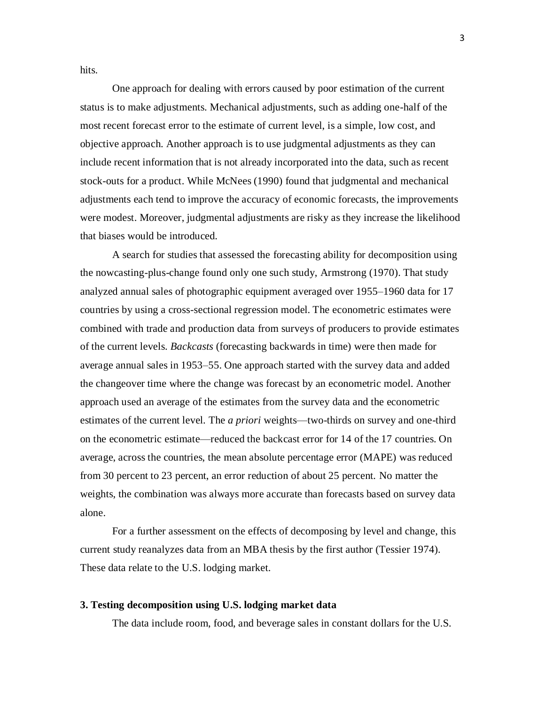hits.

One approach for dealing with errors caused by poor estimation of the current status is to make adjustments. Mechanical adjustments, such as adding one-half of the most recent forecast error to the estimate of current level, is a simple, low cost, and objective approach. Another approach is to use judgmental adjustments as they can include recent information that is not already incorporated into the data, such as recent stock-outs for a product. While McNees (1990) found that judgmental and mechanical adjustments each tend to improve the accuracy of economic forecasts, the improvements were modest. Moreover, judgmental adjustments are risky as they increase the likelihood that biases would be introduced.

A search for studies that assessed the forecasting ability for decomposition using the nowcasting-plus-change found only one such study, Armstrong (1970). That study analyzed annual sales of photographic equipment averaged over 1955–1960 data for 17 countries by using a cross-sectional regression model. The econometric estimates were combined with trade and production data from surveys of producers to provide estimates of the current levels. *Backcasts* (forecasting backwards in time) were then made for average annual sales in 1953–55. One approach started with the survey data and added the changeover time where the change was forecast by an econometric model. Another approach used an average of the estimates from the survey data and the econometric estimates of the current level. The *a priori* weights—two-thirds on survey and one-third on the econometric estimate—reduced the backcast error for 14 of the 17 countries. On average, across the countries, the mean absolute percentage error (MAPE) was reduced from 30 percent to 23 percent, an error reduction of about 25 percent. No matter the weights, the combination was always more accurate than forecasts based on survey data alone.

For a further assessment on the effects of decomposing by level and change, this current study reanalyzes data from an MBA thesis by the first author (Tessier 1974). These data relate to the U.S. lodging market.

#### **3. Testing decomposition using U.S. lodging market data**

The data include room, food, and beverage sales in constant dollars for the U.S.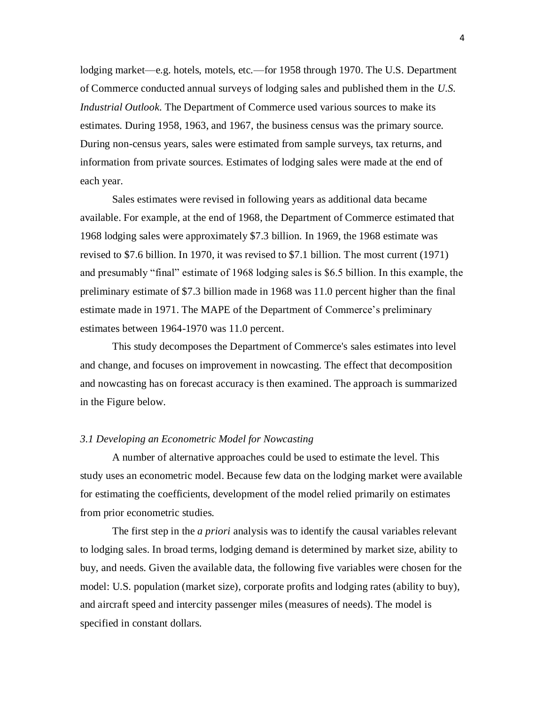lodging market—e.g. hotels, motels, etc.—for 1958 through 1970. The U.S. Department of Commerce conducted annual surveys of lodging sales and published them in the *U.S. Industrial Outlook.* The Department of Commerce used various sources to make its estimates. During 1958, 1963, and 1967, the business census was the primary source. During non-census years, sales were estimated from sample surveys, tax returns, and information from private sources. Estimates of lodging sales were made at the end of each year.

Sales estimates were revised in following years as additional data became available. For example, at the end of 1968, the Department of Commerce estimated that 1968 lodging sales were approximately \$7.3 billion. In 1969, the 1968 estimate was revised to \$7.6 billion. In 1970, it was revised to \$7.1 billion. The most current (1971) and presumably "final" estimate of 1968 lodging sales is \$6.5 billion. In this example, the preliminary estimate of \$7.3 billion made in 1968 was 11.0 percent higher than the final estimate made in 1971. The MAPE of the Department of Commerce's preliminary estimates between 1964-1970 was 11.0 percent.

This study decomposes the Department of Commerce's sales estimates into level and change, and focuses on improvement in nowcasting. The effect that decomposition and nowcasting has on forecast accuracy is then examined. The approach is summarized in the Figure below.

### *3.1 Developing an Econometric Model for Nowcasting*

A number of alternative approaches could be used to estimate the level. This study uses an econometric model. Because few data on the lodging market were available for estimating the coefficients, development of the model relied primarily on estimates from prior econometric studies.

 The first step in the *a priori* analysis was to identify the causal variables relevant to lodging sales. In broad terms, lodging demand is determined by market size, ability to buy, and needs. Given the available data, the following five variables were chosen for the model: U.S. population (market size), corporate profits and lodging rates (ability to buy), and aircraft speed and intercity passenger miles (measures of needs). The model is specified in constant dollars.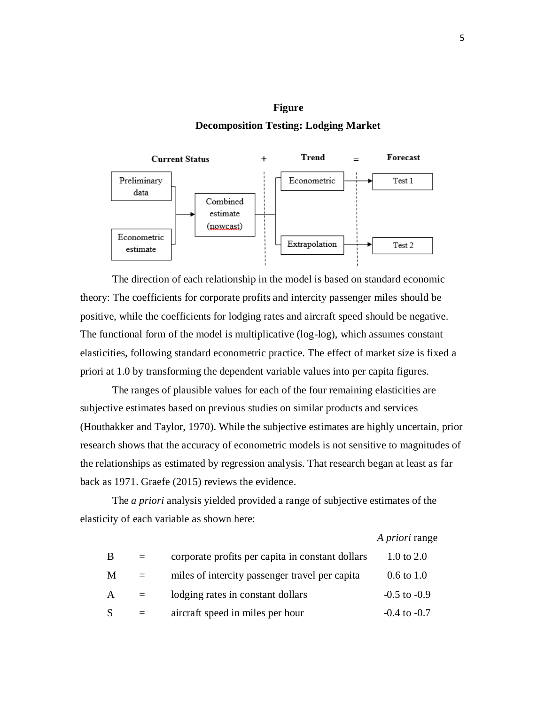# **Figure**

## **Decomposition Testing: Lodging Market**



The direction of each relationship in the model is based on standard economic theory: The coefficients for corporate profits and intercity passenger miles should be positive, while the coefficients for lodging rates and aircraft speed should be negative. The functional form of the model is multiplicative (log-log), which assumes constant elasticities, following standard econometric practice. The effect of market size is fixed a priori at 1.0 by transforming the dependent variable values into per capita figures.

 The ranges of plausible values for each of the four remaining elasticities are subjective estimates based on previous studies on similar products and services (Houthakker and Taylor, 1970). While the subjective estimates are highly uncertain, prior research shows that the accuracy of econometric models is not sensitive to magnitudes of the relationships as estimated by regression analysis. That research began at least as far back as 1971. Graefe (2015) reviews the evidence.

The *a priori* analysis yielded provided a range of subjective estimates of the elasticity of each variable as shown here:

|   |     |                                                  | A priori range        |
|---|-----|--------------------------------------------------|-----------------------|
| B | $=$ | corporate profits per capita in constant dollars | 1.0 to $2.0$          |
| M | $=$ | miles of intercity passenger travel per capita   | $0.6 \text{ to } 1.0$ |
| A | $=$ | lodging rates in constant dollars                | $-0.5$ to $-0.9$      |
| S | $=$ | aircraft speed in miles per hour                 | $-0.4$ to $-0.7$      |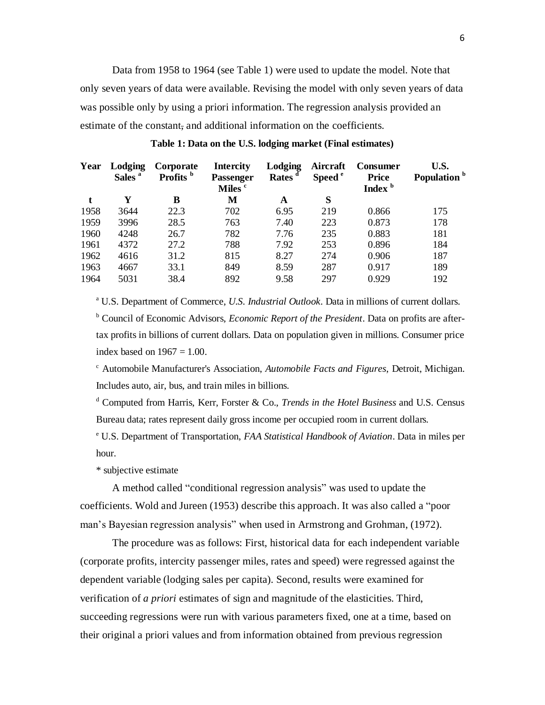Data from 1958 to 1964 (see Table 1) were used to update the model. Note that only seven years of data were available. Revising the model with only seven years of data was possible only by using a priori information. The regression analysis provided an estimate of the constant, and additional information on the coefficients.

| Year | Lodging<br>Sales <sup>a</sup> | Corporate<br>Profits <sup>b</sup> | <b>Intercity</b><br><b>Passenger</b><br>Miles <sup>c</sup> | <b>Lodging</b><br>Rates <sup>d</sup> | Aircraft<br>Speed <sup>e</sup> | Consumer<br><b>Price</b><br>Index <sup>b</sup> | U.S.<br>Population <sup>b</sup> |
|------|-------------------------------|-----------------------------------|------------------------------------------------------------|--------------------------------------|--------------------------------|------------------------------------------------|---------------------------------|
|      | Y                             | B                                 | M                                                          | A                                    | S                              |                                                |                                 |
| 1958 | 3644                          | 22.3                              | 702                                                        | 6.95                                 | 219                            | 0.866                                          | 175                             |
| 1959 | 3996                          | 28.5                              | 763                                                        | 7.40                                 | 223                            | 0.873                                          | 178                             |
| 1960 | 4248                          | 26.7                              | 782                                                        | 7.76                                 | 235                            | 0.883                                          | 181                             |
| 1961 | 4372                          | 27.2                              | 788                                                        | 7.92                                 | 253                            | 0.896                                          | 184                             |
| 1962 | 4616                          | 31.2                              | 815                                                        | 8.27                                 | 274                            | 0.906                                          | 187                             |
| 1963 | 4667                          | 33.1                              | 849                                                        | 8.59                                 | 287                            | 0.917                                          | 189                             |
| 1964 | 5031                          | 38.4                              | 892                                                        | 9.58                                 | 297                            | 0.929                                          | 192                             |

**Table 1: Data on the U.S. lodging market (Final estimates)**

<sup>a</sup> U.S. Department of Commerce, *U.S. Industrial Outlook*. Data in millions of current dollars. <sup>b</sup> Council of Economic Advisors, *Economic Report of the President*. Data on profits are aftertax profits in billions of current dollars. Data on population given in millions. Consumer price index based on  $1967 = 1.00$ .

<sup>c</sup> Automobile Manufacturer's Association, *Automobile Facts and Figures*, Detroit, Michigan. Includes auto, air, bus, and train miles in billions.

<sup>d</sup> Computed from Harris, Kerr, Forster & Co., *Trends in the Hotel Business* and U.S. Census Bureau data; rates represent daily gross income per occupied room in current dollars.

<sup>e</sup> U.S. Department of Transportation, *FAA Statistical Handbook of Aviation*. Data in miles per hour.

\* subjective estimate

A method called "conditional regression analysis" was used to update the coefficients. Wold and Jureen (1953) describe this approach. It was also called a "poor man's Bayesian regression analysis" when used in Armstrong and Grohman, (1972).

The procedure was as follows: First, historical data for each independent variable (corporate profits, intercity passenger miles, rates and speed) were regressed against the dependent variable (lodging sales per capita). Second, results were examined for verification of *a priori* estimates of sign and magnitude of the elasticities. Third, succeeding regressions were run with various parameters fixed, one at a time, based on their original a priori values and from information obtained from previous regression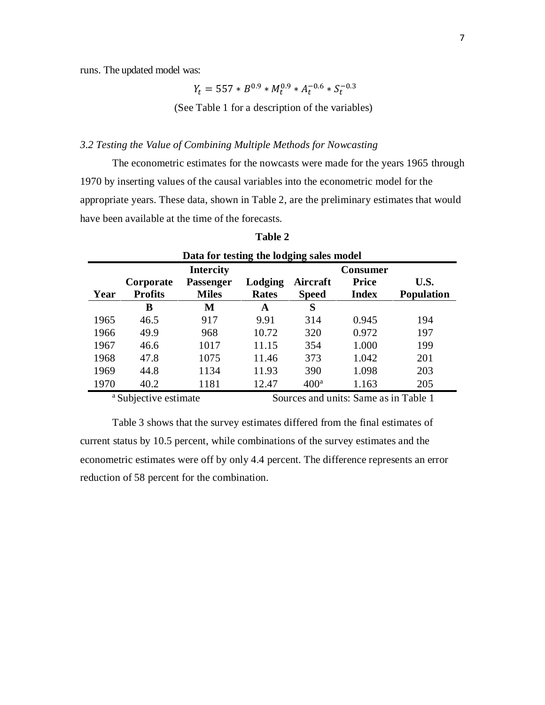runs. The updated model was:

$$
Y_t = 557 * B^{0.9} * M_t^{0.9} * A_t^{-0.6} * S_t^{-0.3}
$$

(See Table 1 for a description of the variables)

# *3.2 Testing the Value of Combining Multiple Methods for Nowcasting*

The econometric estimates for the nowcasts were made for the years 1965 through 1970 by inserting values of the causal variables into the econometric model for the appropriate years. These data, shown in Table 2, are the preliminary estimates that would have been available at the time of the forecasts.

| Data for testing the lodging sales model |                |                  |              |                  |                 |                   |  |
|------------------------------------------|----------------|------------------|--------------|------------------|-----------------|-------------------|--|
|                                          |                | <b>Intercity</b> |              |                  | <b>Consumer</b> |                   |  |
|                                          | Corporate      | <b>Passenger</b> | Lodging      | Aircraft         | <b>Price</b>    | U.S.              |  |
| Year                                     | <b>Profits</b> | <b>Miles</b>     | <b>Rates</b> | <b>Speed</b>     | <b>Index</b>    | <b>Population</b> |  |
|                                          | В              | M                | A            | S                |                 |                   |  |
| 1965                                     | 46.5           | 917              | 9.91         | 314              | 0.945           | 194               |  |
| 1966                                     | 49.9           | 968              | 10.72        | 320              | 0.972           | 197               |  |
| 1967                                     | 46.6           | 1017             | 11.15        | 354              | 1.000           | 199               |  |
| 1968                                     | 47.8           | 1075             | 11.46        | 373              | 1.042           | 201               |  |
| 1969                                     | 44.8           | 1134             | 11.93        | 390              | 1.098           | 203               |  |
| 1970                                     | 40.2           | 1181             | 12.47        | 400 <sup>a</sup> | 1.163           | 205               |  |

| וחו<br>ĸ<br>π |  |
|---------------|--|
|---------------|--|

<sup>a</sup> Subjective estimate Sources and units: Same as in Table 1

Table 3 shows that the survey estimates differed from the final estimates of current status by 10.5 percent, while combinations of the survey estimates and the econometric estimates were off by only 4.4 percent. The difference represents an error reduction of 58 percent for the combination.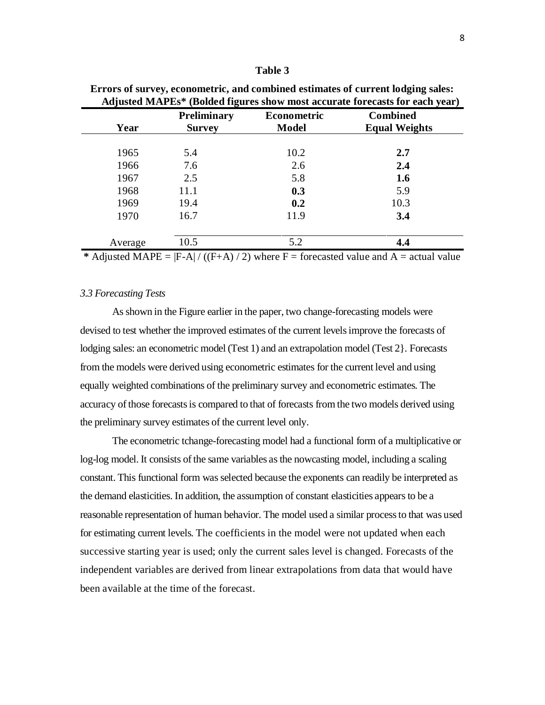#### **Table 3**

| Year    | <b>Preliminary</b><br><b>Survey</b> | <b>Econometric</b><br><b>Model</b> | <b>Combined</b><br><b>Equal Weights</b> |
|---------|-------------------------------------|------------------------------------|-----------------------------------------|
| 1965    | 5.4                                 | 10.2                               | 2.7                                     |
| 1966    | 7.6                                 | 2.6                                | 2.4                                     |
| 1967    | 2.5                                 | 5.8                                | 1.6                                     |
| 1968    | 11.1                                | 0.3                                | 5.9                                     |
| 1969    | 19.4                                | 0.2                                | 10.3                                    |
| 1970    | 16.7                                | 11.9                               | 3.4                                     |
| Average | 10.5                                | 5.2                                | 4.4                                     |

**Errors of survey, econometric, and combined estimates of current lodging sales: Adjusted MAPEs\* (Bolded figures show most accurate forecasts for each year)**

\* Adjusted MAPE =  $|F-A|/((F+A)/2)$  where  $F =$  forecasted value and  $A =$  actual value

## *3.3 Forecasting Tests*

 As shown in the Figure earlier in the paper, two change-forecasting models were devised to test whether the improved estimates of the current levels improve the forecasts of lodging sales: an econometric model (Test 1) and an extrapolation model (Test 2}. Forecasts from the models were derived using econometric estimates for the current level and using equally weighted combinations of the preliminary survey and econometric estimates. The accuracy of those forecasts is compared to that of forecasts from the two models derived using the preliminary survey estimates of the current level only.

 The econometric tchange-forecasting model had a functional form of a multiplicative or log-log model. It consists of the same variables as the nowcasting model, including a scaling constant. This functional form was selected because the exponents can readily be interpreted as the demand elasticities. In addition, the assumption of constant elasticities appears to be a reasonable representation of human behavior. The model used a similar process to that was used for estimating current levels. The coefficients in the model were not updated when each successive starting year is used; only the current sales level is changed. Forecasts of the independent variables are derived from linear extrapolations from data that would have been available at the time of the forecast.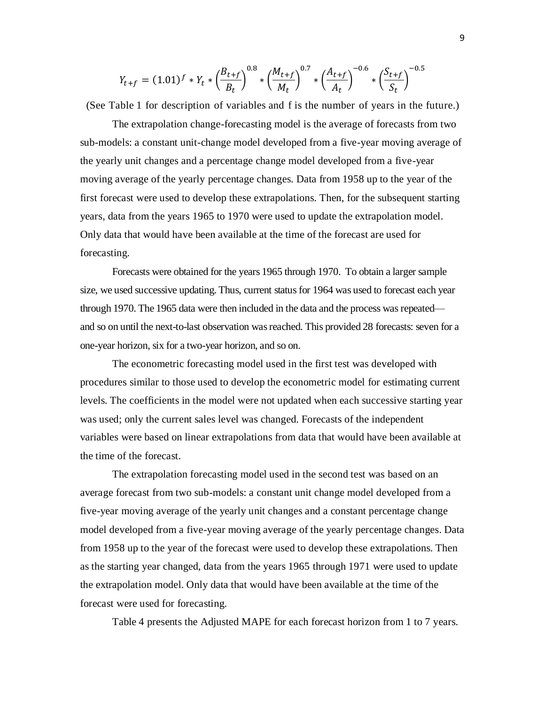$$
Y_{t+f} = (1.01)^f * Y_t * \left(\frac{B_{t+f}}{B_t}\right)^{0.8} * \left(\frac{M_{t+f}}{M_t}\right)^{0.7} * \left(\frac{A_{t+f}}{A_t}\right)^{-0.6} * \left(\frac{S_{t+f}}{S_t}\right)^{-0.5}
$$

(See Table 1 for description of variables and f is the number of years in the future.)

The extrapolation change-forecasting model is the average of forecasts from two sub-models: a constant unit-change model developed from a five-year moving average of the yearly unit changes and a percentage change model developed from a five-year moving average of the yearly percentage changes. Data from 1958 up to the year of the first forecast were used to develop these extrapolations. Then, for the subsequent starting years, data from the years 1965 to 1970 were used to update the extrapolation model. Only data that would have been available at the time of the forecast are used for forecasting.

Forecasts were obtained for the years 1965 through 1970. To obtain a larger sample size, we used successive updating. Thus, current status for 1964 was used to forecast each year through 1970. The 1965 data were then included in the data and the process was repeated and so on until the next-to-last observation was reached. This provided 28 forecasts: seven for a one-year horizon, six for a two-year horizon, and so on.

The econometric forecasting model used in the first test was developed with procedures similar to those used to develop the econometric model for estimating current levels. The coefficients in the model were not updated when each successive starting year was used; only the current sales level was changed. Forecasts of the independent variables were based on linear extrapolations from data that would have been available at the time of the forecast.

The extrapolation forecasting model used in the second test was based on an average forecast from two sub-models: a constant unit change model developed from a five-year moving average of the yearly unit changes and a constant percentage change model developed from a five-year moving average of the yearly percentage changes. Data from 1958 up to the year of the forecast were used to develop these extrapolations. Then as the starting year changed, data from the years 1965 through 1971 were used to update the extrapolation model. Only data that would have been available at the time of the forecast were used for forecasting.

Table 4 presents the Adjusted MAPE for each forecast horizon from 1 to 7 years.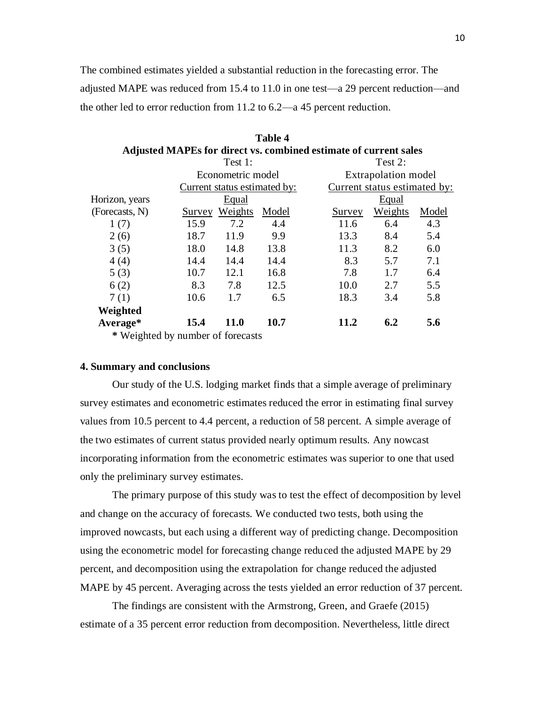The combined estimates yielded a substantial reduction in the forecasting error. The adjusted MAPE was reduced from 15.4 to 11.0 in one test—a 29 percent reduction—and the other led to error reduction from 11.2 to 6.2—a 45 percent reduction.

**Table 4**

|                                     |        |                              |       | Adjusted MAPEs for direct vs. combined estimate of current sales |                              |       |  |  |
|-------------------------------------|--------|------------------------------|-------|------------------------------------------------------------------|------------------------------|-------|--|--|
|                                     |        | Test 1:                      |       |                                                                  | Test 2:                      |       |  |  |
|                                     |        | Econometric model            |       |                                                                  | <b>Extrapolation</b> model   |       |  |  |
|                                     |        | Current status estimated by: |       |                                                                  | Current status estimated by: |       |  |  |
| Horizon, years                      |        | Equal                        |       |                                                                  | Equal                        |       |  |  |
| (Forecasts, N)                      | Survey | Weights                      | Model | Survey                                                           | Weights                      | Model |  |  |
| 1(7)                                | 15.9   | 7.2                          | 4.4   | 11.6                                                             | 6.4                          | 4.3   |  |  |
| 2(6)                                | 18.7   | 11.9                         | 9.9   | 13.3                                                             | 8.4                          | 5.4   |  |  |
| 3(5)                                | 18.0   | 14.8                         | 13.8  | 11.3                                                             | 8.2                          | 6.0   |  |  |
| 4(4)                                | 14.4   | 14.4                         | 14.4  | 8.3                                                              | 5.7                          | 7.1   |  |  |
| 5(3)                                | 10.7   | 12.1                         | 16.8  | 7.8                                                              | 1.7                          | 6.4   |  |  |
| 6(2)                                | 8.3    | 7.8                          | 12.5  | 10.0                                                             | 2.7                          | 5.5   |  |  |
| 7(1)                                | 10.6   | 1.7                          | 6.5   | 18.3                                                             | 3.4                          | 5.8   |  |  |
| Weighted                            |        |                              |       |                                                                  |                              |       |  |  |
| Average*                            | 15.4   | <b>11.0</b>                  | 10.7  | 11.2                                                             | 6.2                          | 5.6   |  |  |
| $*$ Waishted by number of forecasts |        |                              |       |                                                                  |                              |       |  |  |

**\*** Weighted by number of forecasts

#### **4. Summary and conclusions**

Our study of the U.S. lodging market finds that a simple average of preliminary survey estimates and econometric estimates reduced the error in estimating final survey values from 10.5 percent to 4.4 percent, a reduction of 58 percent. A simple average of the two estimates of current status provided nearly optimum results. Any nowcast incorporating information from the econometric estimates was superior to one that used only the preliminary survey estimates.

The primary purpose of this study was to test the effect of decomposition by level and change on the accuracy of forecasts. We conducted two tests, both using the improved nowcasts, but each using a different way of predicting change. Decomposition using the econometric model for forecasting change reduced the adjusted MAPE by 29 percent, and decomposition using the extrapolation for change reduced the adjusted MAPE by 45 percent. Averaging across the tests yielded an error reduction of 37 percent.

The findings are consistent with the Armstrong, Green, and Graefe (2015) estimate of a 35 percent error reduction from decomposition. Nevertheless, little direct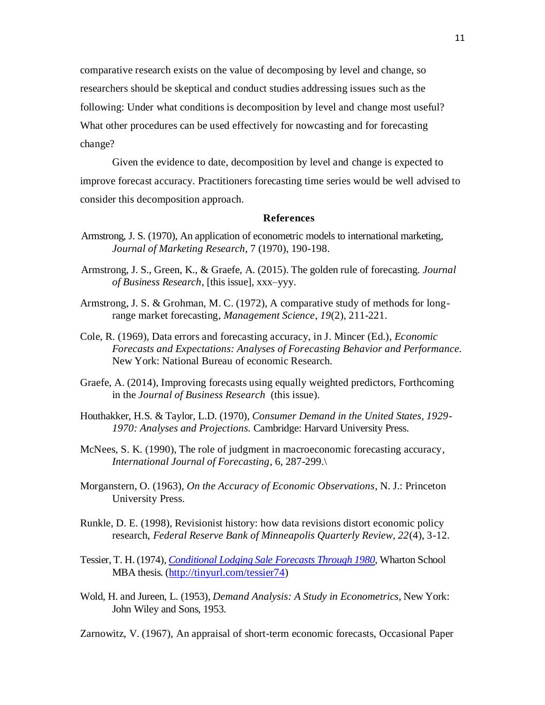comparative research exists on the value of decomposing by level and change, so researchers should be skeptical and conduct studies addressing issues such as the following: Under what conditions is decomposition by level and change most useful? What other procedures can be used effectively for nowcasting and for forecasting change?

Given the evidence to date, decomposition by level and change is expected to improve forecast accuracy. Practitioners forecasting time series would be well advised to consider this decomposition approach.

#### **References**

- Armstrong, J. S. (1970), An application of econometric models to international marketing, *Journal of Marketing Research*, 7 (1970), 190-198.
- Armstrong, J. S., Green, K., & Graefe, A. (2015). The golden rule of forecasting. *Journal of Business Research*, [this issue], xxx–yyy.
- Armstrong, J. S. & Grohman, M. C. (1972), A comparative study of methods for longrange market forecasting, *Management Science*, *19*(2), 211-221.
- Cole, R. (1969), Data errors and forecasting accuracy, in J. Mincer (Ed.), *Economic Forecasts and Expectations: Analyses of Forecasting Behavior and Performance.* New York: National Bureau of economic Research.
- Graefe, A. (2014), Improving forecasts using equally weighted predictors, Forthcoming in the *Journal of Business Research* (this issue).
- Houthakker, H.S. & Taylor, L.D. (1970), *Consumer Demand in the United States, 1929- 1970: Analyses and Projections.* Cambridge: Harvard University Press.
- McNees, S. K. (1990), The role of judgment in macroeconomic forecasting accuracy, *International Journal of Forecasting*, 6, 287-299.\
- Morganstern, O. (1963), *On the Accuracy of Economic Observations*, N. J.: Princeton University Press.
- Runkle, D. E. (1998), Revisionist history: how data revisions distort economic policy research, *Federal Reserve Bank of Minneapolis Quarterly Review, 22*(4), 3-12.
- Tessier, T. H. (1974), *[Conditional Lodging Sale Forecasts Through 1980](http://www.forecastingprinciples.com/images/stories/Tessier1974.pdf)*, Wharton School MBA thesis. [\(http://tinyurl.com/tessier74\)](http://tinyurl.com/tessier74)
- Wold, H. and Jureen, L. (1953), *Demand Analysis: A Study in Econometrics*, New York: John Wiley and Sons, 1953.

Zarnowitz, V. (1967), An appraisal of short-term economic forecasts, Occasional Paper